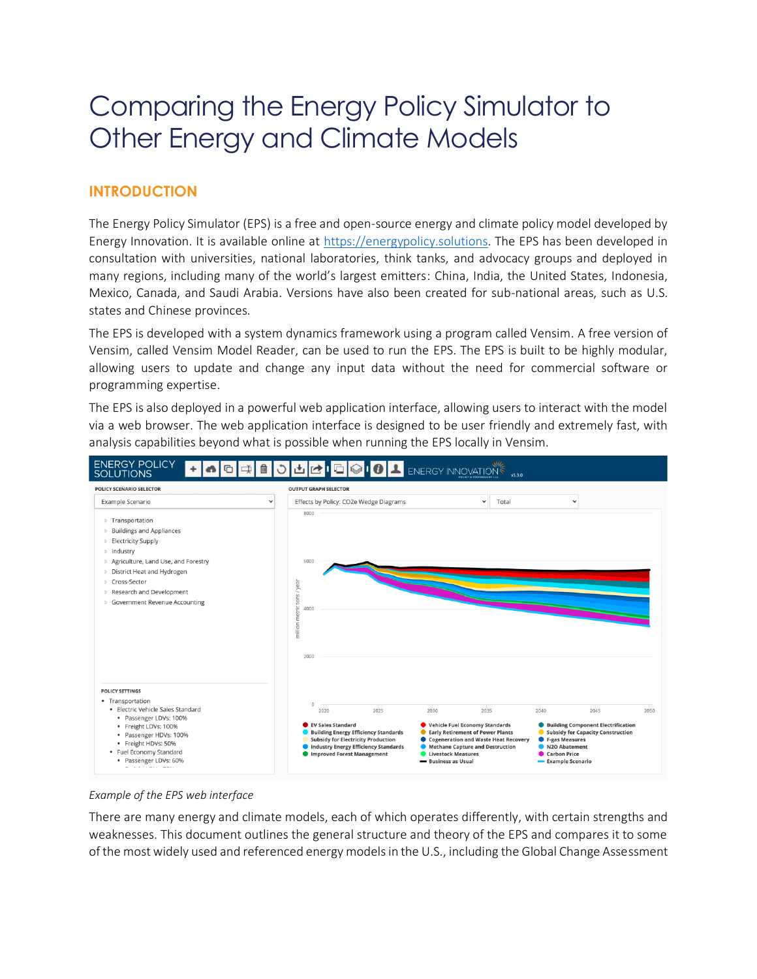# Comparing the Energy Policy Simulator to Other Energy and Climate Models

## **INTRODUCTION**

The Energy Policy Simulator (EPS) is a free and open-source energy and climate policy model developed by Energy Innovation. It is available online at [https://energypolicy.solutions.](https://energypolicy.solutions/) The EPS has been developed in consultation with universities, national laboratories, think tanks, and advocacy groups and deployed in many regions, including many of the world's largest emitters: China, India, the United States, Indonesia, Mexico, Canada, and Saudi Arabia. Versions have also been created for sub-national areas, such as U.S. states and Chinese provinces.

The EPS is developed with a system dynamics framework using a program called Vensim. A free version of Vensim, called Vensim Model Reader, can be used to run the EPS. The EPS is built to be highly modular, allowing users to update and change any input data without the need for commercial software or programming expertise.

The EPS is also deployed in a powerful web application interface, allowing users to interact with the model via a web browser. The web application interface is designed to be user friendly and extremely fast, with analysis capabilities beyond what is possible when running the EPS locally in Vensim.



#### *Example of the EPS web interface*

There are many energy and climate models, each of which operates differently, with certain strengths and weaknesses. This document outlines the general structure and theory of the EPS and compares it to some of the most widely used and referenced energy models in the U.S., including the Global Change Assessment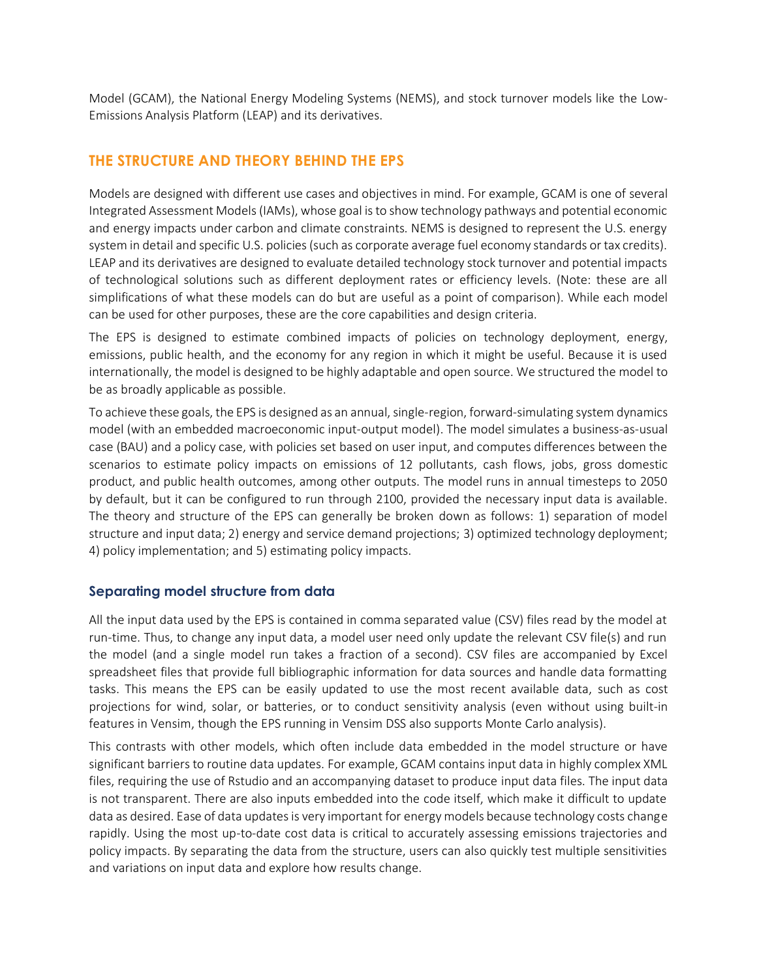Model (GCAM), the National Energy Modeling Systems (NEMS), and stock turnover models like the Low-Emissions Analysis Platform (LEAP) and its derivatives.

#### **THE STRUCTURE AND THEORY BEHIND THE EPS**

Models are designed with different use cases and objectives in mind. For example, GCAM is one of several Integrated Assessment Models (IAMs), whose goal is to show technology pathways and potential economic and energy impacts under carbon and climate constraints. NEMS is designed to represent the U.S. energy system in detail and specific U.S. policies (such as corporate average fuel economy standards or tax credits). LEAP and its derivatives are designed to evaluate detailed technology stock turnover and potential impacts of technological solutions such as different deployment rates or efficiency levels. (Note: these are all simplifications of what these models can do but are useful as a point of comparison). While each model can be used for other purposes, these are the core capabilities and design criteria.

The EPS is designed to estimate combined impacts of policies on technology deployment, energy, emissions, public health, and the economy for any region in which it might be useful. Because it is used internationally, the model is designed to be highly adaptable and open source. We structured the model to be as broadly applicable as possible.

To achieve these goals, the EPS is designed as an annual, single-region, forward-simulating system dynamics model (with an embedded macroeconomic input-output model). The model simulates a business-as-usual case (BAU) and a policy case, with policies set based on user input, and computes differences between the scenarios to estimate policy impacts on emissions of 12 pollutants, cash flows, jobs, gross domestic product, and public health outcomes, among other outputs. The model runs in annual timesteps to 2050 by default, but it can be configured to run through 2100, provided the necessary input data is available. The theory and structure of the EPS can generally be broken down as follows: 1) separation of model structure and input data; 2) energy and service demand projections; 3) optimized technology deployment; 4) policy implementation; and 5) estimating policy impacts.

#### **Separating model structure from data**

All the input data used by the EPS is contained in comma separated value (CSV) files read by the model at run-time. Thus, to change any input data, a model user need only update the relevant CSV file(s) and run the model (and a single model run takes a fraction of a second). CSV files are accompanied by Excel spreadsheet files that provide full bibliographic information for data sources and handle data formatting tasks. This means the EPS can be easily updated to use the most recent available data, such as cost projections for wind, solar, or batteries, or to conduct sensitivity analysis (even without using built-in features in Vensim, though the EPS running in Vensim DSS also supports Monte Carlo analysis).

This contrasts with other models, which often include data embedded in the model structure or have significant barriers to routine data updates. For example, GCAM contains input data in highly complex XML files, requiring the use of Rstudio and an accompanying dataset to produce input data files. The input data is not transparent. There are also inputs embedded into the code itself, which make it difficult to update data as desired. Ease of data updates is very important for energy models because technology costs change rapidly. Using the most up-to-date cost data is critical to accurately assessing emissions trajectories and policy impacts. By separating the data from the structure, users can also quickly test multiple sensitivities and variations on input data and explore how results change.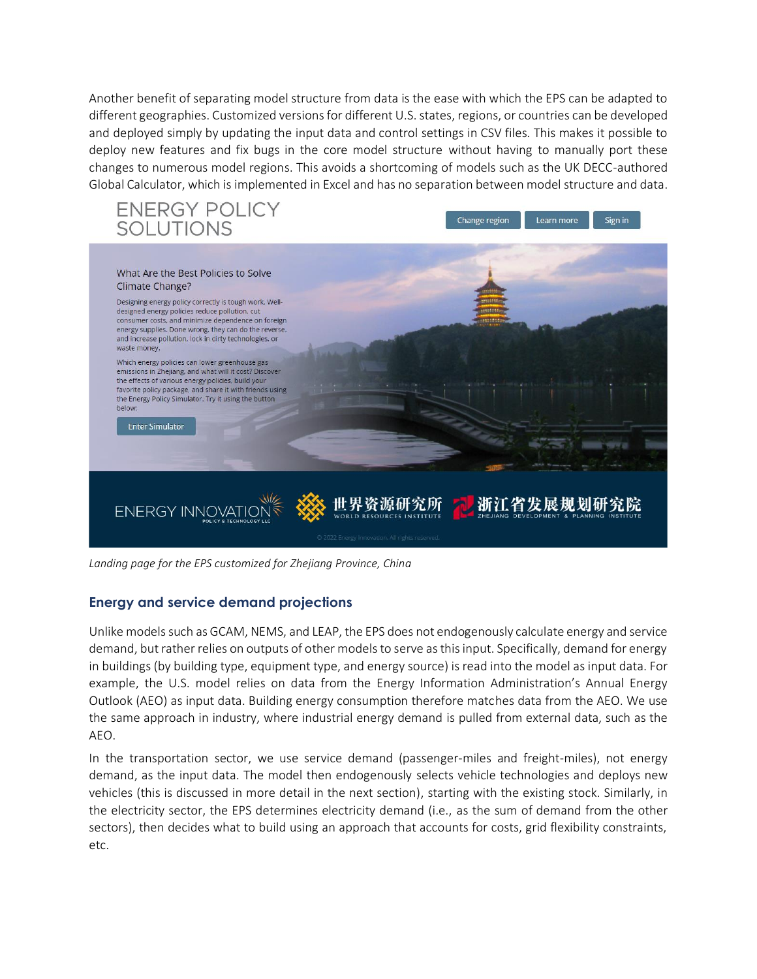Another benefit of separating model structure from data is the ease with which the EPS can be adapted to different geographies. Customized versions for different U.S. states, regions, or countries can be developed and deployed simply by updating the input data and control settings in CSV files. This makes it possible to deploy new features and fix bugs in the core model structure without having to manually port these changes to numerous model regions. This avoids a shortcoming of models such as the UK DECC-authored Global Calculator, which is implemented in Excel and has no separation between model structure and data.



*Landing page for the EPS customized for Zhejiang Province, China*

#### **Energy and service demand projections**

Unlike models such as GCAM, NEMS, and LEAP, the EPS does not endogenously calculate energy and service demand, but rather relies on outputs of other models to serve as this input. Specifically, demand for energy in buildings (by building type, equipment type, and energy source) is read into the model as input data. For example, the U.S. model relies on data from the Energy Information Administration's Annual Energy Outlook (AEO) as input data. Building energy consumption therefore matches data from the AEO. We use the same approach in industry, where industrial energy demand is pulled from external data, such as the AEO.

In the transportation sector, we use service demand (passenger-miles and freight-miles), not energy demand, as the input data. The model then endogenously selects vehicle technologies and deploys new vehicles (this is discussed in more detail in the next section), starting with the existing stock. Similarly, in the electricity sector, the EPS determines electricity demand (i.e., as the sum of demand from the other sectors), then decides what to build using an approach that accounts for costs, grid flexibility constraints, etc.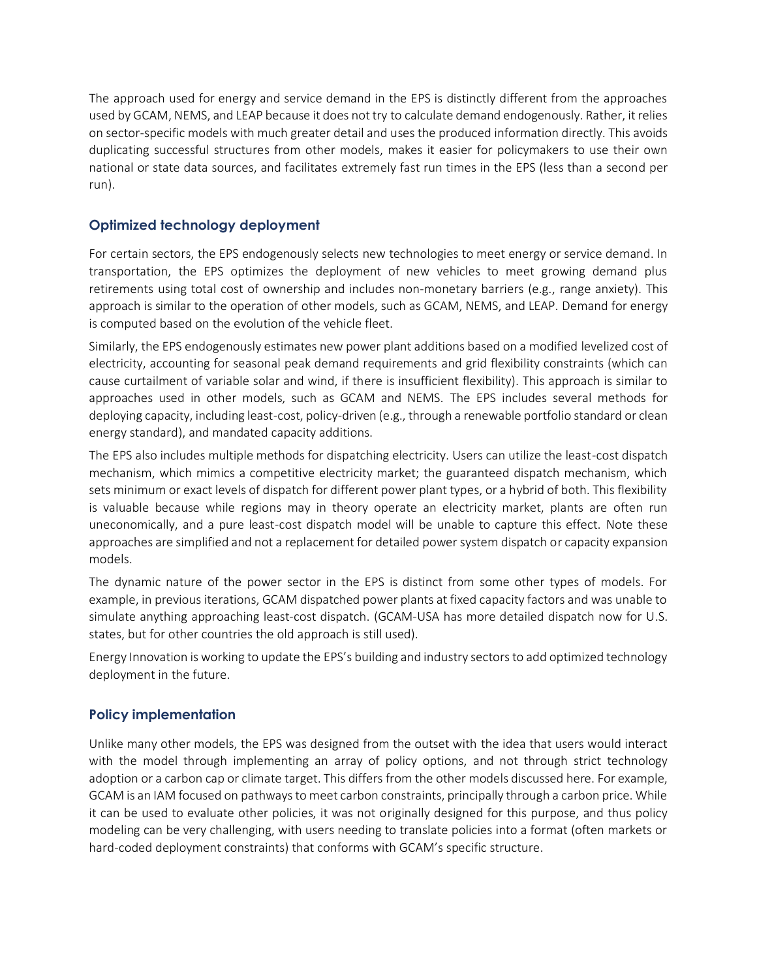The approach used for energy and service demand in the EPS is distinctly different from the approaches used by GCAM, NEMS, and LEAP because it does not try to calculate demand endogenously. Rather, it relies on sector-specific models with much greater detail and uses the produced information directly. This avoids duplicating successful structures from other models, makes it easier for policymakers to use their own national or state data sources, and facilitates extremely fast run times in the EPS (less than a second per run).

### **Optimized technology deployment**

For certain sectors, the EPS endogenously selects new technologies to meet energy or service demand. In transportation, the EPS optimizes the deployment of new vehicles to meet growing demand plus retirements using total cost of ownership and includes non-monetary barriers (e.g., range anxiety). This approach is similar to the operation of other models, such as GCAM, NEMS, and LEAP. Demand for energy is computed based on the evolution of the vehicle fleet.

Similarly, the EPS endogenously estimates new power plant additions based on a modified levelized cost of electricity, accounting for seasonal peak demand requirements and grid flexibility constraints (which can cause curtailment of variable solar and wind, if there is insufficient flexibility). This approach is similar to approaches used in other models, such as GCAM and NEMS. The EPS includes several methods for deploying capacity, including least-cost, policy-driven (e.g., through a renewable portfolio standard or clean energy standard), and mandated capacity additions.

The EPS also includes multiple methods for dispatching electricity. Users can utilize the least-cost dispatch mechanism, which mimics a competitive electricity market; the guaranteed dispatch mechanism, which sets minimum or exact levels of dispatch for different power plant types, or a hybrid of both. This flexibility is valuable because while regions may in theory operate an electricity market, plants are often run uneconomically, and a pure least-cost dispatch model will be unable to capture this effect. Note these approaches are simplified and not a replacement for detailed power system dispatch or capacity expansion models.

The dynamic nature of the power sector in the EPS is distinct from some other types of models. For example, in previous iterations, GCAM dispatched power plants at fixed capacity factors and was unable to simulate anything approaching least-cost dispatch. (GCAM-USA has more detailed dispatch now for U.S. states, but for other countries the old approach is still used).

Energy Innovation is working to update the EPS's building and industry sectors to add optimized technology deployment in the future.

#### **Policy implementation**

Unlike many other models, the EPS was designed from the outset with the idea that users would interact with the model through implementing an array of policy options, and not through strict technology adoption or a carbon cap or climate target. This differs from the other models discussed here. For example, GCAM is an IAM focused on pathways to meet carbon constraints, principally through a carbon price. While it can be used to evaluate other policies, it was not originally designed for this purpose, and thus policy modeling can be very challenging, with users needing to translate policies into a format (often markets or hard-coded deployment constraints) that conforms with GCAM's specific structure.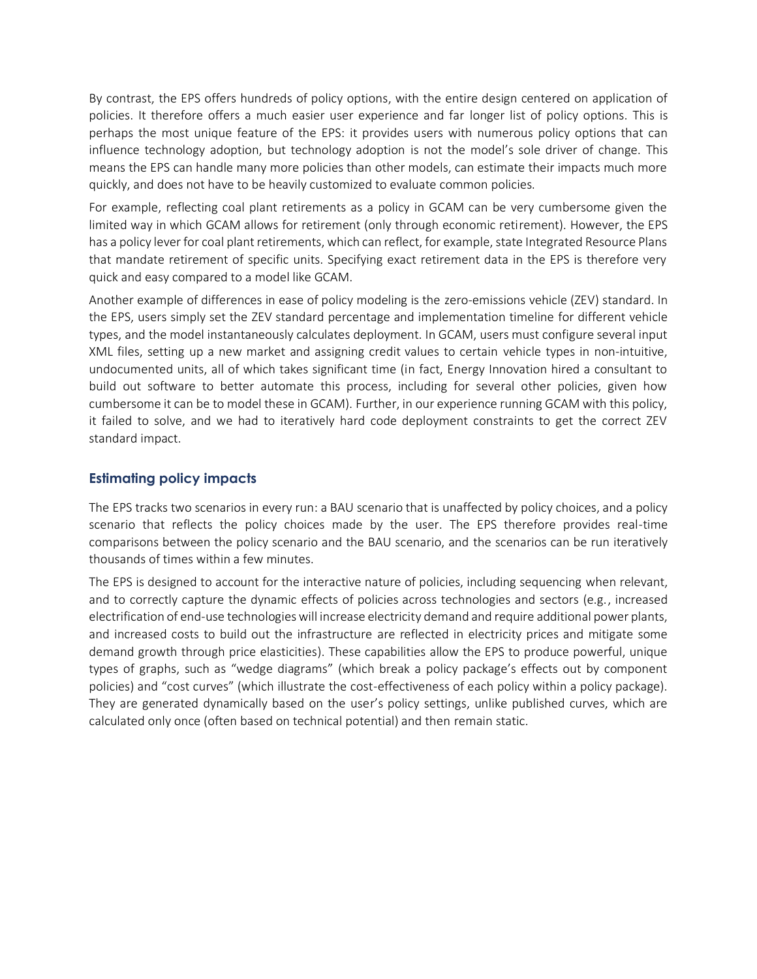By contrast, the EPS offers hundreds of policy options, with the entire design centered on application of policies. It therefore offers a much easier user experience and far longer list of policy options. This is perhaps the most unique feature of the EPS: it provides users with numerous policy options that can influence technology adoption, but technology adoption is not the model's sole driver of change. This means the EPS can handle many more policies than other models, can estimate their impacts much more quickly, and does not have to be heavily customized to evaluate common policies.

For example, reflecting coal plant retirements as a policy in GCAM can be very cumbersome given the limited way in which GCAM allows for retirement (only through economic retirement). However, the EPS has a policy lever for coal plant retirements, which can reflect, for example, state Integrated Resource Plans that mandate retirement of specific units. Specifying exact retirement data in the EPS is therefore very quick and easy compared to a model like GCAM.

Another example of differences in ease of policy modeling is the zero-emissions vehicle (ZEV) standard. In the EPS, users simply set the ZEV standard percentage and implementation timeline for different vehicle types, and the model instantaneously calculates deployment. In GCAM, users must configure several input XML files, setting up a new market and assigning credit values to certain vehicle types in non-intuitive, undocumented units, all of which takes significant time (in fact, Energy Innovation hired a consultant to build out software to better automate this process, including for several other policies, given how cumbersome it can be to model these in GCAM). Further, in our experience running GCAM with this policy, it failed to solve, and we had to iteratively hard code deployment constraints to get the correct ZEV standard impact.

#### **Estimating policy impacts**

The EPS tracks two scenarios in every run: a BAU scenario that is unaffected by policy choices, and a policy scenario that reflects the policy choices made by the user. The EPS therefore provides real-time comparisons between the policy scenario and the BAU scenario, and the scenarios can be run iteratively thousands of times within a few minutes.

The EPS is designed to account for the interactive nature of policies, including sequencing when relevant, and to correctly capture the dynamic effects of policies across technologies and sectors (e.g., increased electrification of end-use technologies will increase electricity demand and require additional power plants, and increased costs to build out the infrastructure are reflected in electricity prices and mitigate some demand growth through price elasticities). These capabilities allow the EPS to produce powerful, unique types of graphs, such as "wedge diagrams" (which break a policy package's effects out by component policies) and "cost curves" (which illustrate the cost-effectiveness of each policy within a policy package). They are generated dynamically based on the user's policy settings, unlike published curves, which are calculated only once (often based on technical potential) and then remain static.